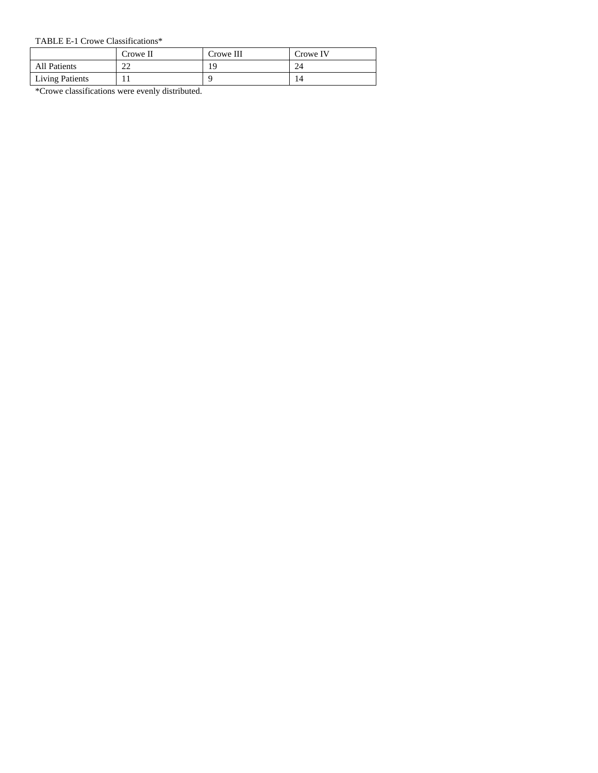#### TABLE E-1 Crowe Classifications\*

|                        | Crowe II | Crowe III | Crowe IV |
|------------------------|----------|-----------|----------|
| <b>All Patients</b>    | າາ<br>∠∠ | 19        | 24       |
| <b>Living Patients</b> |          |           | 14       |

### \*Crowe classifications were evenly distributed.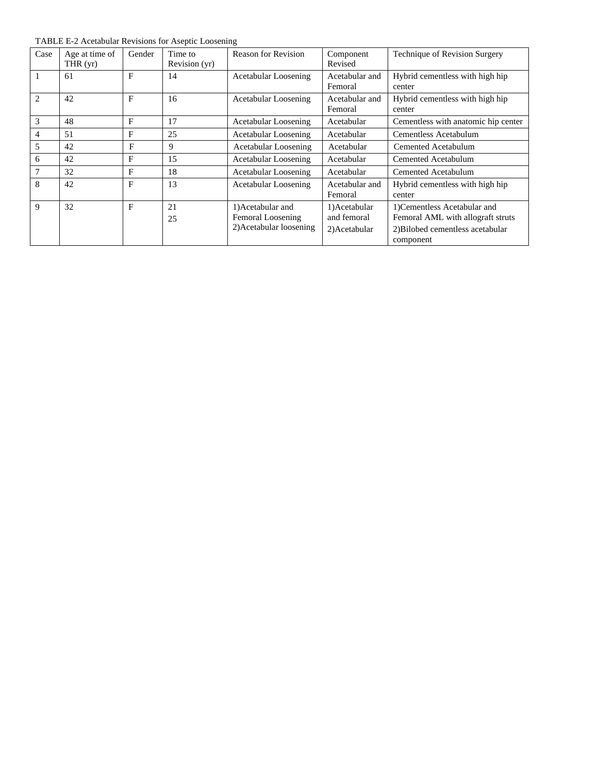| Case                          | Age at time of<br>THR $(yr)$ | Gender | Time to<br>Revision (yr) | <b>Reason for Revision</b>                                        | Component<br>Revised                         | Technique of Revision Surgery                                                                                      |
|-------------------------------|------------------------------|--------|--------------------------|-------------------------------------------------------------------|----------------------------------------------|--------------------------------------------------------------------------------------------------------------------|
| $\mathbf{1}$                  | 61                           | F      | 14                       | Acetabular Loosening                                              | Acetabular and<br>Femoral                    | Hybrid cementless with high hip<br>center                                                                          |
| $\mathfrak{D}_{\mathfrak{p}}$ | 42                           | F      | 16                       | Acetabular Loosening                                              | Acetabular and<br>Femoral                    | Hybrid cementless with high hip<br>center                                                                          |
| 3                             | 48                           | F      | 17                       | Acetabular Loosening                                              | Acetabular                                   | Cementless with anatomic hip center                                                                                |
| 4                             | 51                           | F      | 25                       | Acetabular Loosening                                              | Acetabular                                   | Cementless Acetabulum                                                                                              |
| 5                             | 42                           | F      | 9                        | Acetabular Loosening                                              | Acetabular                                   | Cemented Acetabulum                                                                                                |
| 6                             | 42                           | F      | 15                       | <b>Acetabular Loosening</b>                                       | Acetabular                                   | Cemented Acetabulum                                                                                                |
| 7                             | 32                           | F      | 18                       | Acetabular Loosening                                              | Acetabular                                   | Cemented Acetabulum                                                                                                |
| 8                             | 42                           | F      | 13                       | Acetabular Loosening                                              | Acetabular and<br>Femoral                    | Hybrid cementless with high hip<br>center                                                                          |
| $\mathbf{Q}$                  | 32                           | F      | 21<br>25                 | 1) Acetabular and<br>Femoral Loosening<br>2) Acetabular loosening | 1)Acetabular<br>and femoral<br>2) Acetabular | 1) Cementless Acetabular and<br>Femoral AML with allograft struts<br>2) Bilobed cementless acetabular<br>component |

TABLE E-2 Acetabular Revisions for Aseptic Loosening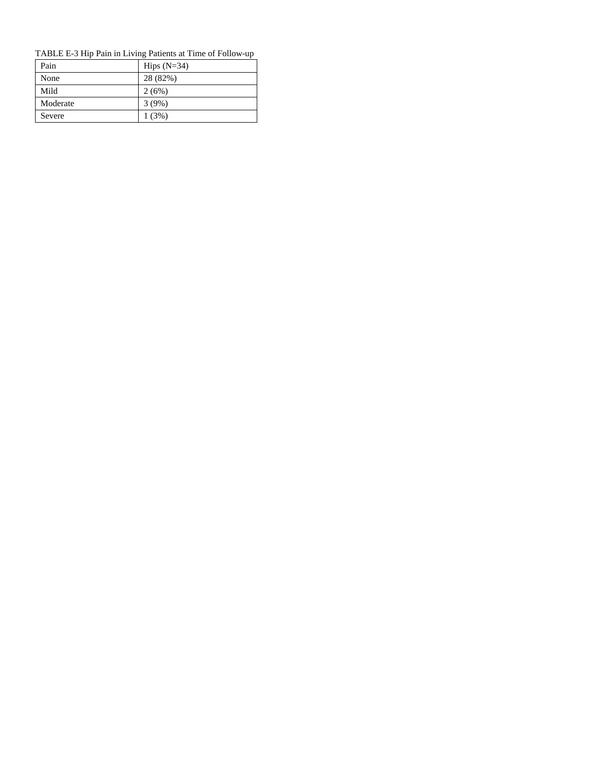### TABLE E-3 Hip Pain in Living Patients at Time of Follow-up

| Pain     | Hips $(N=34)$ |
|----------|---------------|
| None     | 28 (82%)      |
| Mild     | 2(6%)         |
| Moderate | 3(9%)         |
| Severe   | 1(3%)         |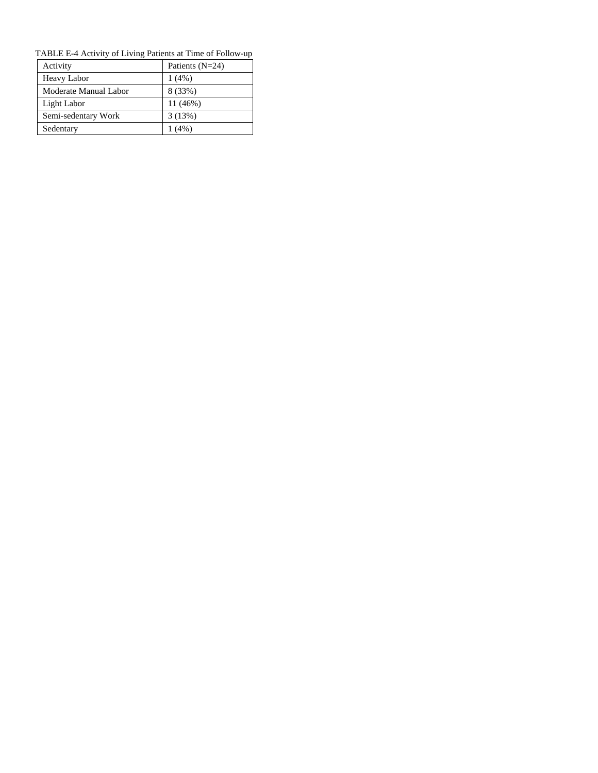| TABLE E-4 Activity of Living Patients at Time of Follow-up |                   |  |  |  |
|------------------------------------------------------------|-------------------|--|--|--|
| Activity                                                   | Patients $(N=24)$ |  |  |  |
| <b>Heavy Labor</b>                                         | $1(4\%)$          |  |  |  |
| Moderate Manual Labor                                      | 8 (33%)           |  |  |  |
| Light Labor                                                | 11(46%)           |  |  |  |
| Semi-sedentary Work                                        | 3(13%)            |  |  |  |
| Sedentary                                                  | 1(4%)             |  |  |  |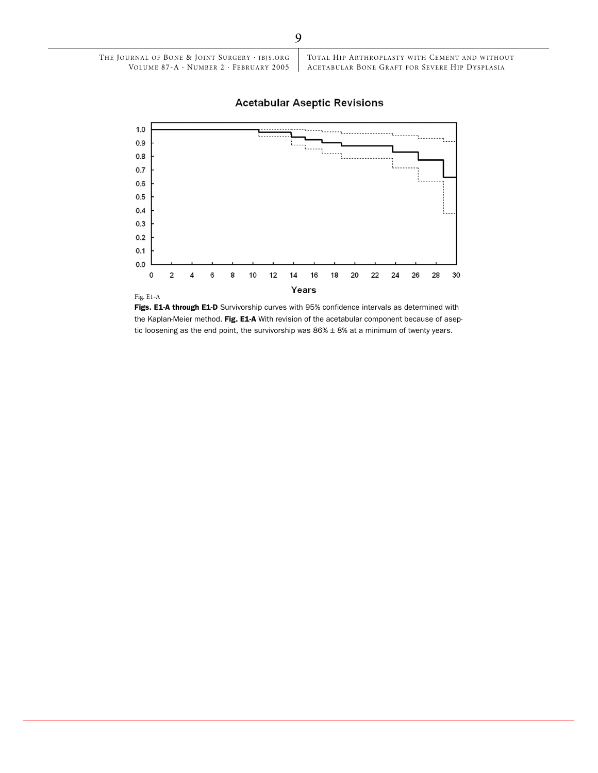### **Acetabular Aseptic Revisions**



Figs. E1-A through E1-D Survivorship curves with 95% confidence intervals as determined with the Kaplan-Meier method. Fig. E1-A With revision of the acetabular component because of aseptic loosening as the end point, the survivorship was  $86% \pm 8%$  at a minimum of twenty years.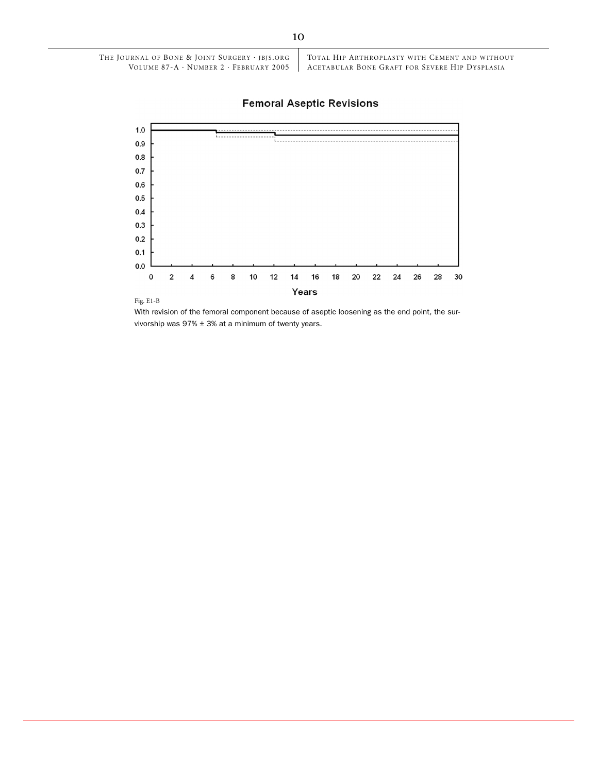## **Femoral Aseptic Revisions**



Fig. E1-B

With revision of the femoral component because of aseptic loosening as the end point, the survivorship was  $97\% \pm 3\%$  at a minimum of twenty years.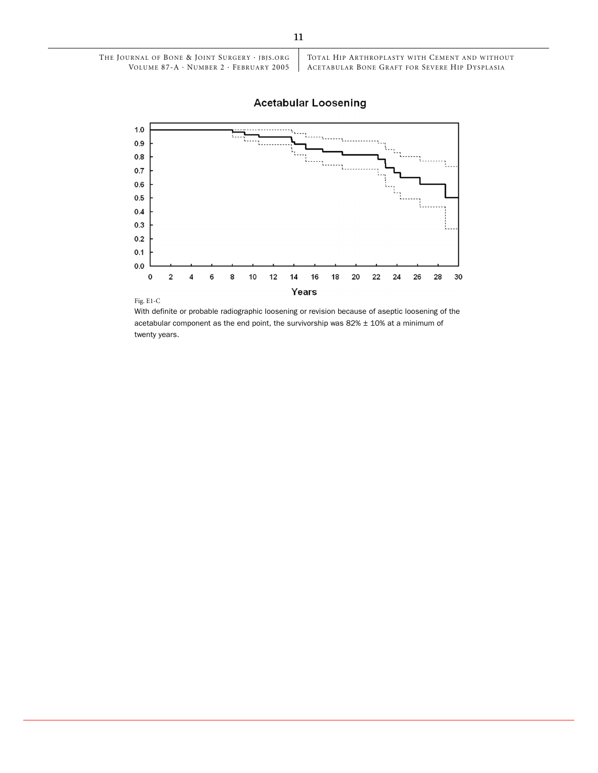## **Acetabular Loosening**



Fig. E1-C

With definite or probable radiographic loosening or revision because of aseptic loosening of the acetabular component as the end point, the survivorship was  $82\% \pm 10\%$  at a minimum of twenty years.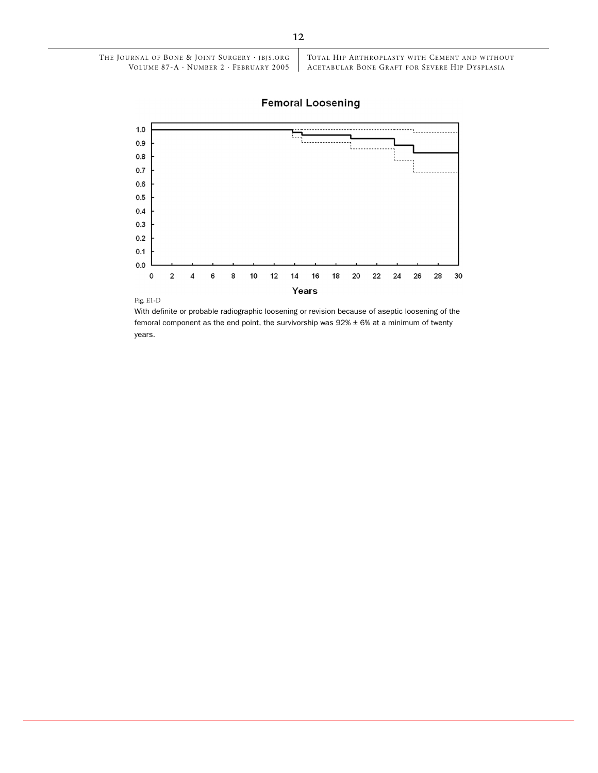## **Femoral Loosening**



Fig. E1-D

With definite or probable radiographic loosening or revision because of aseptic loosening of the femoral component as the end point, the survivorship was  $92\% \pm 6\%$  at a minimum of twenty years.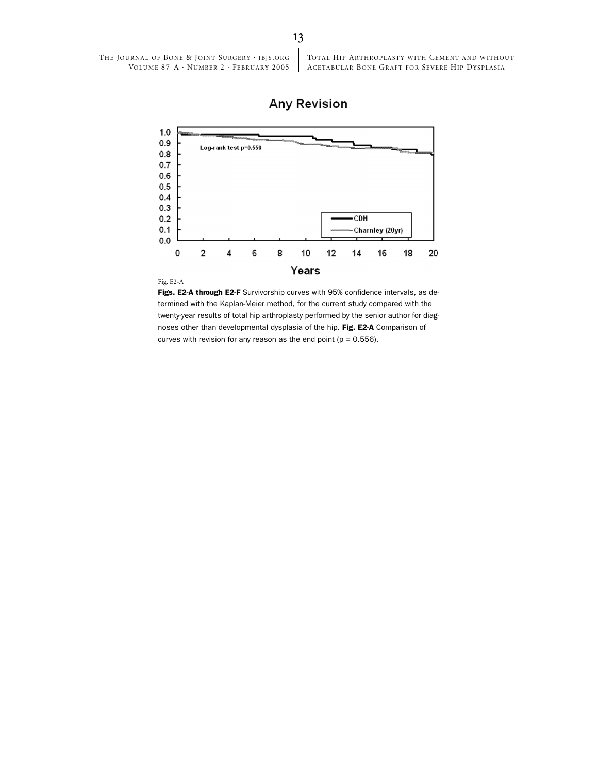## **Any Revision**



Fig. E2-A

**Figs. E2-A through E2-F** Survivorship curves with 95% confidence intervals, as determined with the Kaplan-Meier method, for the current study compared with the twenty-year results of total hip arthroplasty performed by the senior author for diagnoses other than developmental dysplasia of the hip. Fig. E2-A Comparison of curves with revision for any reason as the end point  $(p = 0.556)$ .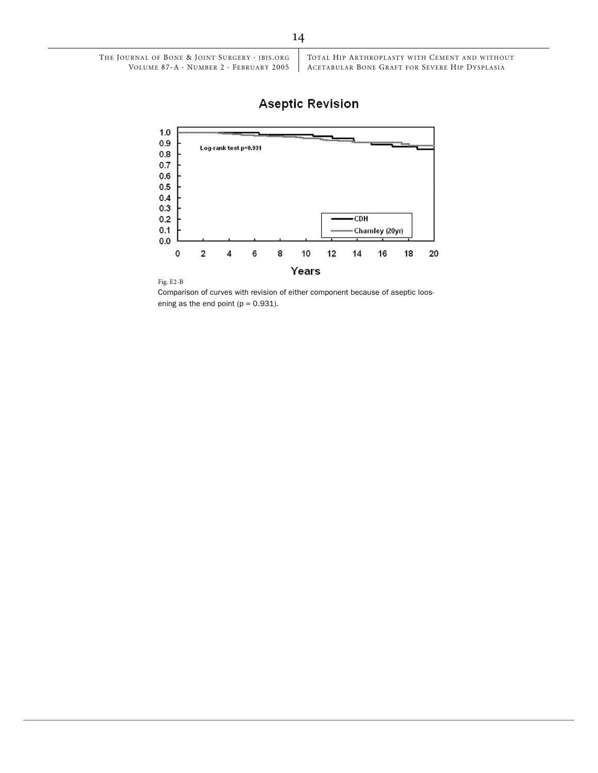# **Aseptic Revision**





Comparison of curves with revision of either component because of aseptic loosening as the end point  $(p = 0.931)$ .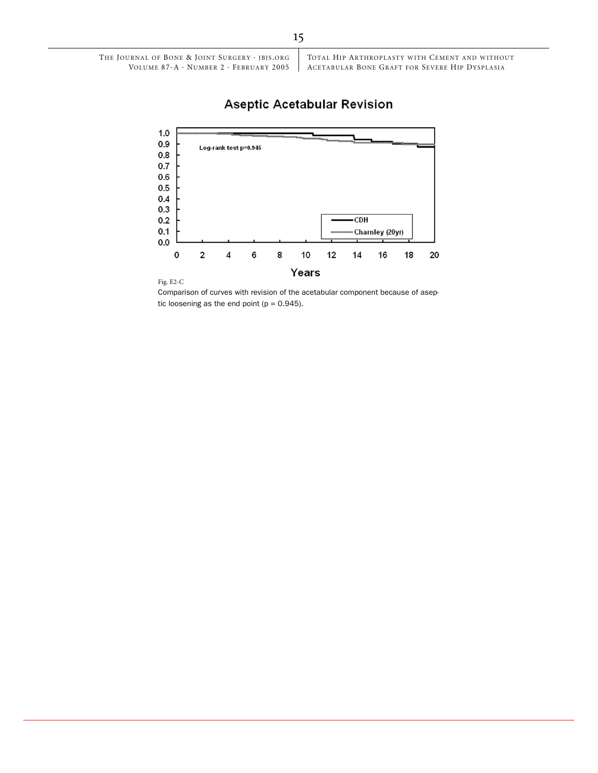## **Aseptic Acetabular Revision**



Fig. E2-C

Comparison of curves with revision of the acetabular component because of aseptic loosening as the end point  $(p = 0.945)$ .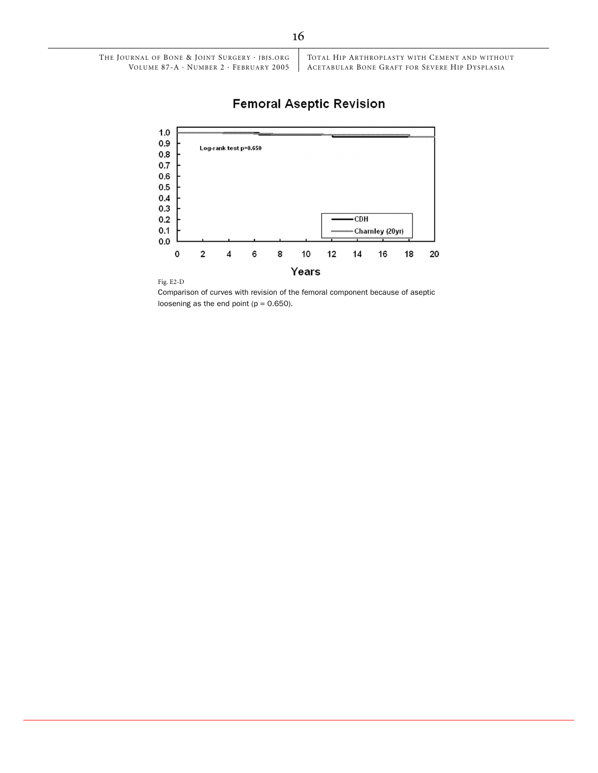# **Femoral Aseptic Revision**



![](_page_11_Figure_2.jpeg)

Comparison of curves with revision of the femoral component because of aseptic loosening as the end point  $(p = 0.650)$ .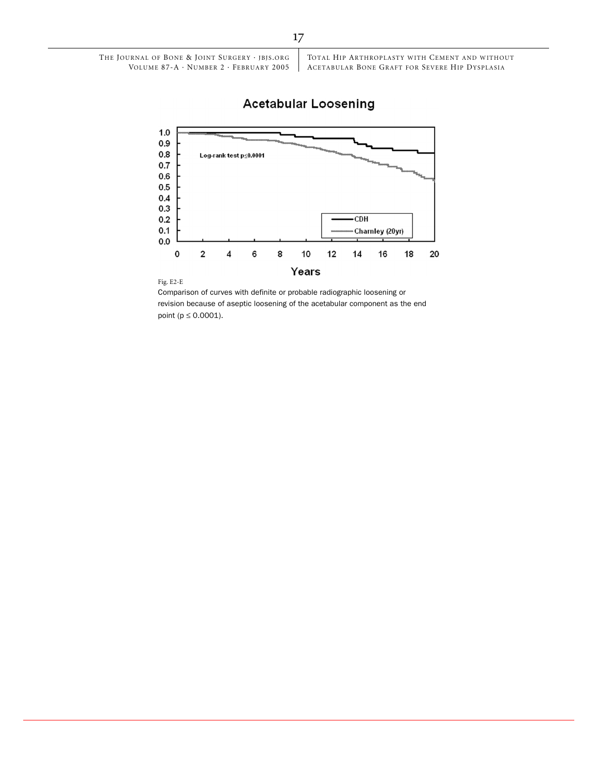## **Acetabular Loosening**

![](_page_12_Figure_1.jpeg)

#### Fig. E2-E

Comparison of curves with definite or probable radiographic loosening or revision because of aseptic loosening of the acetabular component as the end point ( $p \le 0.0001$ ).